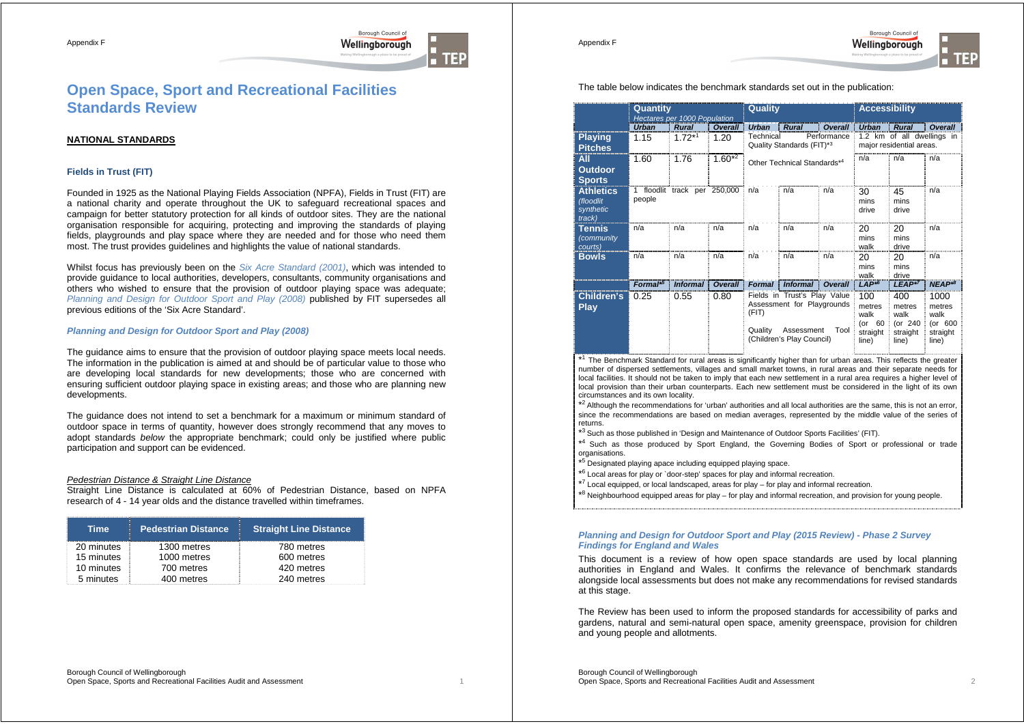

Appendix F



# **Open Space, Sport and Recreational Facilities Standards Review**

# **NATIONAL STANDARDS**

## **Fields in Trust (FIT)**

Founded in 1925 as the National Playing Fields Association (NPFA), Fields in Trust (FIT) are a national charity and operate throughout the UK to safeguard recreational spaces and campaign for better statutory protection for all kinds of outdoor sites. They are the national organisation responsible for acquiring, protecting and improving the standards of playing fields, playgrounds and play space where they are needed and for those who need them most. The trust provides guidelines and highlights the value of national standards.

Whilst focus has previously been on the Six Acre Standard (2001), which was intended to provide guidance to local authorities, developers, consultants, community organisations and others who wished to ensure that the provision of outdoor playing space was adequate; Planning and Design for Outdoor Sport and Play (2008) published by FIT supersedes all previous editions of the 'Six Acre Standard'.

## **Planning and Design for Outdoor Sport and Play (2008)**

The guidance aims to ensure that the provision of outdoor playing space meets local needs. The information in the publication is aimed at and should be of particular value to those who are developing local standards for new developments; those who are concerned with ensuring sufficient outdoor playing space in existing areas; and those who are planning new developments.

The guidance does not intend to set a benchmark for a maximum or minimum standard of outdoor space in terms of quantity, however does strongly recommend that any moves to adopt standards below the appropriate benchmark; could only be justified where public participation and support can be evidenced.

#### Pedestrian Distance & Straight Line Distance

Straight Line Distance is calculated at 60% of Pedestrian Distance, based on NPFA research of 4 - 14 year olds and the distance travelled within timeframes.

| Time       | <b>Pedestrian Distance</b> | <b>Straight Line Distance</b> |
|------------|----------------------------|-------------------------------|
| 20 minutes | 1300 metres                | 780 metres                    |
| 15 minutes | 1000 metres                | 600 metres                    |
| 10 minutes | 700 metres                 | 420 metres                    |
| 5 minutes  | 400 metres                 | 240 metres                    |

|                                                      | Quantity<br>Hectares per 1000 Population |                              | Quality        |                  | <b>Accessibility</b>                                                                                  |                |                                                         |                                                        |                                                        |
|------------------------------------------------------|------------------------------------------|------------------------------|----------------|------------------|-------------------------------------------------------------------------------------------------------|----------------|---------------------------------------------------------|--------------------------------------------------------|--------------------------------------------------------|
|                                                      | <b>Urban</b>                             | <b>Rural</b>                 | Overall        | <b>Urban</b>     | <b>Rural</b>                                                                                          | Overall        | <b>Urban</b>                                            | <b>Rural</b>                                           | Overall                                                |
| <b>Playing</b><br><b>Pitches</b>                     | 1.15                                     | $1.72^{*1}$                  | 1.20           | Technical        | Quality Standards (FIT)*3                                                                             | Performance    |                                                         | 1.2 km of all dwellings in<br>major residential areas. |                                                        |
| All<br><b>Outdoor</b><br><b>Sports</b>               | 1.60                                     | 1.76                         | $1.60^{*2}$    |                  | Other Technical Standards*4                                                                           |                | n/a                                                     | n/a                                                    | n/a                                                    |
| <b>Athletics</b><br>(floodlit<br>synthetic<br>track) | people                                   | 1 floodlit track per 250,000 |                | n/a              | n/a                                                                                                   | n/a            | 30<br>mins<br>drive                                     | 45<br>mins<br>drive                                    | n/a                                                    |
| Tennis<br>(community<br>courts)                      | n/a                                      | n/a                          | n/a            | n/a              | n/a                                                                                                   | n/a            | 20<br>mins<br>walk                                      | 20<br>mins<br>drive                                    | n/a                                                    |
| <b>Bowls</b>                                         | n/a                                      | n/a                          | n/a            | n/a              | n/a                                                                                                   | n/a            | 20<br>mins<br>walk                                      | 20<br>mins<br>drive                                    | n/a                                                    |
|                                                      | Formal <sup>*5</sup>                     | <b>Informal</b>              | <b>Overall</b> | <b>Formal</b>    | <b>Informal</b>                                                                                       | <b>Overall</b> | $LAP^{*6}$                                              | $LEAP*7$                                               | $NEAP^{*8}$                                            |
| Children's<br>Play                                   | 0.25                                     | 0.55                         | 0.80           | (FIT)<br>Quality | Fields in Trust's Play Value<br>Assessment for Playgrounds<br>Assessment<br>(Children's Play Council) | Tool           | 100<br>metres<br>walk<br>$($ or 60<br>straight<br>line) | 400<br>metres<br>walk<br>(or 240<br>straight<br>line)  | 1000<br>metres<br>walk<br>(or 600<br>straight<br>line) |

\*<sup>1</sup> The Benchmark Standard for rural areas is significantly higher than for urban areas. This reflects the greater number of dispersed settlements, villages and small market towns, in rural areas and their separate needs for local facilities. It should not be taken to imply that each new settlement in a rural area requires a higher level of local provision than their urban counterparts. Each new settlement must be considered in the light of its own circumstances and its own locality.

\*<sup>2</sup>Although the recommendations for 'urban' authorities and all local authorities are the same, this is not an error, since the recommendations are based on median averages, represented by the middle value of the series of returns.

\*3 Such as those published in 'Design and Maintenance of Outdoor Sports Facilities' (FIT).

\*4 Such as those produced by Sport England, the Governing Bodies of Sport or professional or trade organisations.

\*<sup>5</sup> Designated playing apace including equipped playing space.

\*6 Local areas for play or `door-step' spaces for play and informal recreation.

 $*7$  Local equipped, or local landscaped, areas for play – for play and informal recreation.

\*8 Neighbourhood equipped areas for play – for play and informal recreation, and provision for young people.

#### **Planning and Design for Outdoor Sport and Play (2015 Review) - Phase 2 Survey Findings for England and Wales**

This document is a review of how open space standards are used by local planning authorities in England and Wales. It confirms the relevance of benchmark standards alongside local assessments but does not make any recommendations for revised standards at this stage.

The Review has been used to inform the proposed standards for accessibility of parks and gardens, natural and semi-natural open space, amenity greenspace, provision for children and young people and allotments.

Borough Council of Wellingborough Open Space, Sports and Recreational Facilities Audit and Assessment 2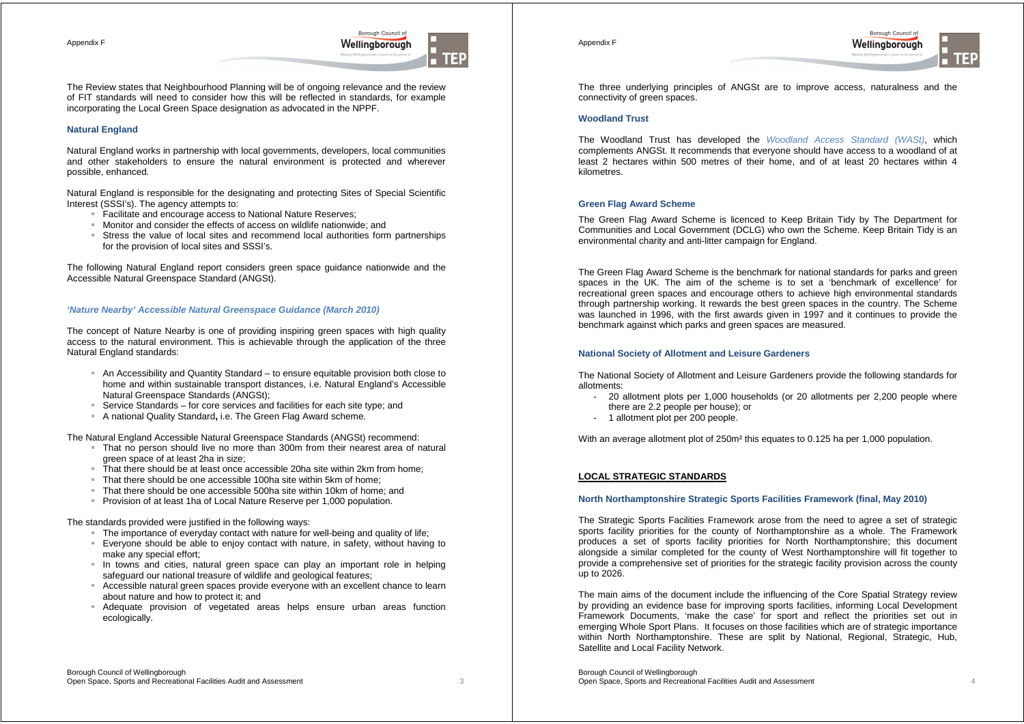Appendix F

The Review states that Neighbourhood Planning will be of ongoing relevance and the review of FIT standards will need to consider how this will be reflected in standards, for example incorporating the Local Green Space designation as advocated in the NPPF.

Borough Council of

Wellingborough

#### **Natural England**

Natural England works in partnership with local governments, developers, local communities and other stakeholders to ensure the natural environment is protected and wherever possible, enhanced.

Natural England is responsible for the designating and protecting Sites of Special Scientific Interest (SSSI's). The agency attempts to:

- Facilitate and encourage access to National Nature Reserves:
- Monitor and consider the effects of access on wildlife nationwide; and
- Stress the value of local sites and recommend local authorities form partnerships for the provision of local sites and SSSI's.

The following Natural England report considers green space guidance nationwide and the Accessible Natural Greenspace Standard (ANGSt).

#### **'Nature Nearby' Accessible Natural Greenspace Guidance (March 2010)**

The concept of Nature Nearby is one of providing inspiring green spaces with high quality access to the natural environment. This is achievable through the application of the three Natural England standards:

- An Accessibility and Quantity Standard to ensure equitable provision both close to home and within sustainable transport distances, i.e. Natural England's Accessible Natural Greenspace Standards (ANGSt);
- Service Standards for core services and facilities for each site type; and
- A national Quality Standard**,** i.e. The Green Flag Award scheme.

The Natural England Accessible Natural Greenspace Standards (ANGSt) recommend:

- That no person should live no more than 300m from their nearest area of natural green space of at least 2ha in size;
- That there should be at least once accessible 20ha site within 2km from home;
- $\blacksquare$  That there should be one accessible 100ha site within 5km of home;
- That there should be one accessible 500ha site within 10km of home; and
- **Provision of at least 1ha of Local Nature Reserve per 1,000 population.**

The standards provided were justified in the following ways:

- The importance of everyday contact with nature for well-being and quality of life;
- Everyone should be able to enjoy contact with nature, in safety, without having to make any special effort;
- In towns and cities, natural green space can play an important role in helping safeguard our national treasure of wildlife and geological features;
- Accessible natural green spaces provide everyone with an excellent chance to learn about nature and how to protect it; and
- Adequate provision of vegetated areas helps ensure urban areas function ecologically.

Appendix F



The three underlying principles of ANGSt are to improve access, naturalness and the connectivity of green spaces.

## **Woodland Trust**

The Woodland Trust has developed the Woodland Access Standard (WASt), which complements ANGSt. It recommends that everyone should have access to a woodland of at least 2 hectares within 500 metres of their home, and of at least 20 hectares within 4 kilometres.

#### **Green Flag Award Scheme**

The Green Flag Award Scheme is licenced to Keep Britain Tidy by The Department for Communities and Local Government (DCLG) who own the Scheme. Keep Britain Tidy is an environmental charity and anti-litter campaign for England.

The Green Flag Award Scheme is the benchmark for national standards for parks and green spaces in the UK. The aim of the scheme is to set a 'benchmark of excellence' for recreational green spaces and encourage others to achieve high environmental standards through partnership working. It rewards the best green spaces in the country. The Scheme was launched in 1996, with the first awards given in 1997 and it continues to provide the benchmark against which parks and green spaces are measured.

#### **National Society of Allotment and Leisure Gardeners**

The National Society of Allotment and Leisure Gardeners provide the following standards for allotments:

- 20 allotment plots per 1,000 households (or 20 allotments per 2,200 people where there are 2.2 people per house); or
- 1 allotment plot per 200 people.

With an average allotment plot of 250m² this equates to 0.125 ha per 1,000 population.

#### **LOCAL STRATEGIC STANDARDS**

#### **North Northamptonshire Strategic Sports Facilities Framework (final, May 2010)**

The Strategic Sports Facilities Framework arose from the need to agree a set of strategic sports facility priorities for the county of Northamptonshire as a whole. The Framework produces a set of sports facility priorities for North Northamptonshire; this document alongside a similar completed for the county of West Northamptonshire will fit together to provide a comprehensive set of priorities for the strategic facility provision across the county up to 2026.

The main aims of the document include the influencing of the Core Spatial Strategy review by providing an evidence base for improving sports facilities, informing Local Development Framework Documents, 'make the case' for sport and reflect the priorities set out in emerging Whole Sport Plans. It focuses on those facilities which are of strategic importance within North Northamptonshire. These are split by National, Regional, Strategic, Hub, Satellite and Local Facility Network.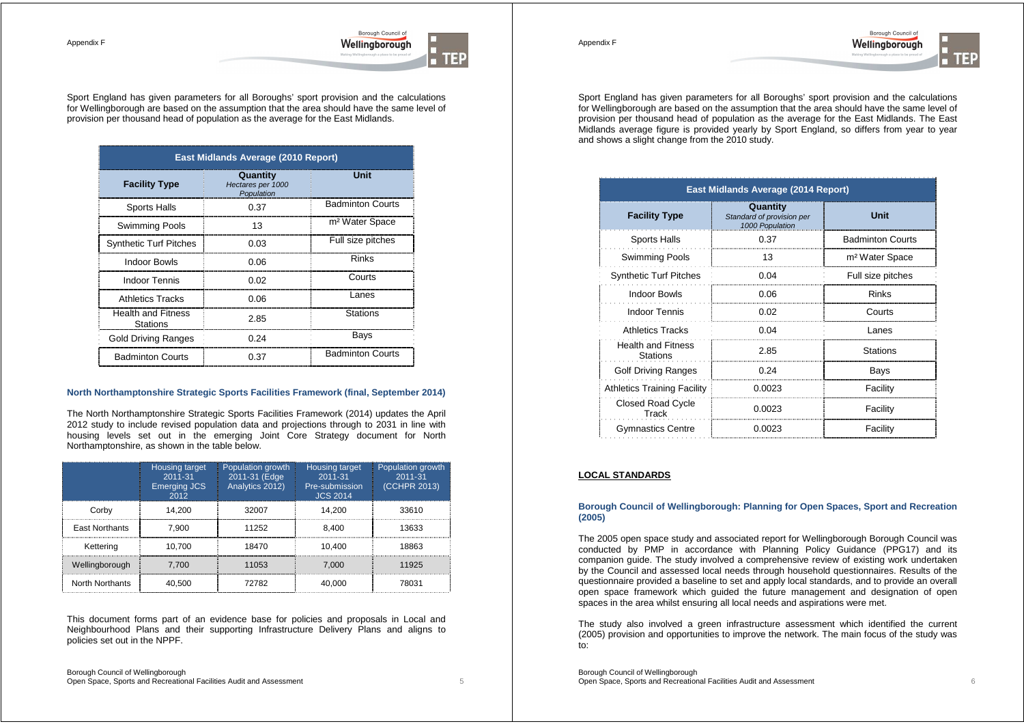Borough Council of Wellingborough

Appendix F



Sport England has given parameters for all Boroughs' sport provision and the calculations for Wellingborough are based on the assumption that the area should have the same level of provision per thousand head of population as the average for the East Midlands.

| East Midlands Average (2010 Report)   |                                             |                            |  |  |  |
|---------------------------------------|---------------------------------------------|----------------------------|--|--|--|
| <b>Facility Type</b>                  | Quantity<br>Hectares per 1000<br>Population | Unit                       |  |  |  |
| <b>Sports Halls</b>                   | 0.37                                        | <b>Badminton Courts</b>    |  |  |  |
| Swimming Pools                        | 13                                          | m <sup>2</sup> Water Space |  |  |  |
| <b>Synthetic Turf Pitches</b>         | 0.03                                        | Full size pitches          |  |  |  |
| Indoor Bowls                          | 0.06                                        | Rinks                      |  |  |  |
| Indoor Tennis                         | 0.02                                        | Courts                     |  |  |  |
| <b>Athletics Tracks</b>               | 0.06                                        | I anes                     |  |  |  |
| <b>Health and Fitness</b><br>Stations | 2.85                                        | <b>Stations</b>            |  |  |  |
| Gold Driving Ranges                   | 0.24                                        | Bays                       |  |  |  |
| <b>Badminton Courts</b>               | 0.37                                        | <b>Badminton Courts</b>    |  |  |  |

#### **North Northamptonshire Strategic Sports Facilities Framework (final, September 2014)**

The North Northamptonshire Strategic Sports Facilities Framework (2014) updates the April 2012 study to include revised population data and projections through to 2031 in line with housing levels set out in the emerging Joint Core Strategy document for North Northamptonshire, as shown in the table below.

|                       | Housing target<br>2011-31<br><b>Emerging JCS</b><br>2012 | Population growth<br>2011-31 (Edge<br>Analytics 2012) | <b>Housing target</b><br>2011-31<br>Pre-submission<br><b>JCS 2014</b> | Population growth<br>2011-31<br>(CCHPR 2013) |
|-----------------------|----------------------------------------------------------|-------------------------------------------------------|-----------------------------------------------------------------------|----------------------------------------------|
| Corby                 | 14.200                                                   | 32007                                                 | 14.200                                                                | 33610                                        |
| <b>East Northants</b> | 7.900                                                    | 11252                                                 | 8,400                                                                 | 13633                                        |
| Kettering             | 10.700                                                   | 18470                                                 | 10.400                                                                | 18863                                        |
| Wellingborough        | 7.700                                                    | 11053                                                 | 7.000                                                                 | 11925                                        |
| North Northants       | 40,500                                                   | 72782                                                 | 40,000                                                                | 78031                                        |

This document forms part of an evidence base for policies and proposals in Local and Neighbourhood Plans and their supporting Infrastructure Delivery Plans and aligns to policies set out in the NPPF.

Sport England has given parameters for all Boroughs' sport provision and the calculations for Wellingborough are based on the assumption that the area should have the same level of provision per thousand head of population as the average for the East Midlands. The East Midlands average figure is provided yearly by Sport England, so differs from year to year and shows a slight change from the 2010 study.

| <b>East Midlands Average (2014 Report)</b> |                                                          |                            |  |  |
|--------------------------------------------|----------------------------------------------------------|----------------------------|--|--|
| <b>Facility Type</b>                       | Quantity<br>Standard of provision per<br>1000 Population | Unit                       |  |  |
| <b>Sports Halls</b>                        | 0.37                                                     | <b>Badminton Courts</b>    |  |  |
| <b>Swimming Pools</b>                      | 13                                                       | m <sup>2</sup> Water Space |  |  |
| <b>Synthetic Turf Pitches</b>              | 0.04                                                     | Full size pitches          |  |  |
| <b>Indoor Bowls</b>                        | 0.06                                                     | <b>Rinks</b>               |  |  |
| <b>Indoor Tennis</b>                       | 0.02                                                     | Courts                     |  |  |
| Athletics Tracks                           | 0.04                                                     | Lanes                      |  |  |
| <b>Health and Fitness</b><br>Stations      | 2.85                                                     | <b>Stations</b>            |  |  |
| <b>Golf Driving Ranges</b>                 | 0.24                                                     | Bays                       |  |  |
| <b>Athletics Training Facility</b>         | 0.0023                                                   | Facility                   |  |  |
| <b>Closed Road Cycle</b><br>Track          | 0.0023                                                   | Facility                   |  |  |
| <b>Gymnastics Centre</b>                   | 0.0023                                                   | Facility                   |  |  |

#### **LOCAL STANDARDS**

## **Borough Council of Wellingborough: Planning for Open Spaces, Sport and Recreation (2005)**

The 2005 open space study and associated report for Wellingborough Borough Council was conducted by PMP in accordance with Planning Policy Guidance (PPG17) and its companion guide. The study involved a comprehensive review of existing work undertaken by the Council and assessed local needs through household questionnaires. Results of the questionnaire provided a baseline to set and apply local standards, and to provide an overall open space framework which guided the future management and designation of open spaces in the area whilst ensuring all local needs and aspirations were met.

The study also involved a green infrastructure assessment which identified the current (2005) provision and opportunities to improve the network. The main focus of the study was to:

Borough Council of Wellingborough Open Space, Sports and Recreational Facilities Audit and Assessment 6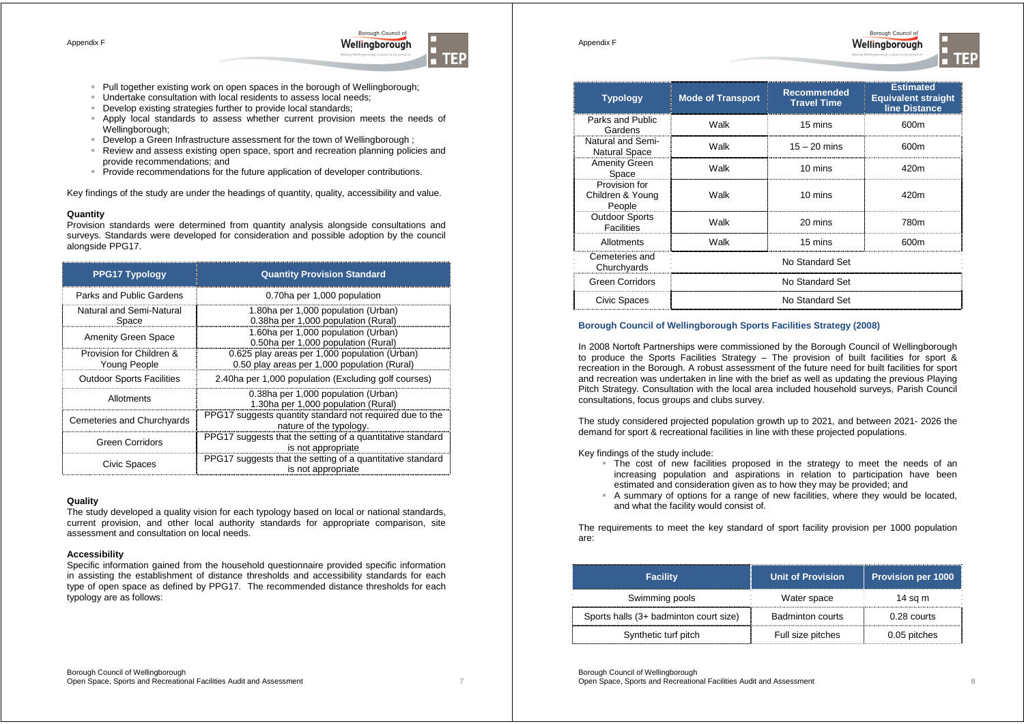

- Pull together existing work on open spaces in the borough of Wellingborough;
- Undertake consultation with local residents to assess local needs;
- Develop existing strategies further to provide local standards;
- Apply local standards to assess whether current provision meets the needs of Wellingborough:
- Develop a Green Infrastructure assessment for the town of Wellingborough ;
- Review and assess existing open space, sport and recreation planning policies and provide recommendations; and
- Provide recommendations for the future application of developer contributions.

Key findings of the study are under the headings of quantity, quality, accessibility and value.

## **Quantity**

Provision standards were determined from quantity analysis alongside consultations and surveys. Standards were developed for consideration and possible adoption by the council alongside PPG17.

| <b>PPG17 Typology</b>                           | <b>Quantity Provision Standard</b>                                                            |
|-------------------------------------------------|-----------------------------------------------------------------------------------------------|
| Parks and Public Gardens                        | 0.70ha per 1,000 population                                                                   |
| Natural and Semi-Natural<br>Space               | 1.80ha per 1,000 population (Urban)<br>0.38ha per 1,000 population (Rural)                    |
| <b>Amenity Green Space</b>                      | 1.60ha per 1,000 population (Urban)<br>0.50ha per 1,000 population (Rural)                    |
| Provision for Children &<br><b>Young People</b> | 0.625 play areas per 1,000 population (Urban)<br>0.50 play areas per 1,000 population (Rural) |
| <b>Outdoor Sports Facilities</b>                | 2.40ha per 1,000 population (Excluding golf courses)                                          |
| Allotments                                      | 0.38ha per 1,000 population (Urban)<br>1.30ha per 1,000 population (Rural)                    |
| Cemeteries and Churchyards                      | PPG17 suggests quantity standard not required due to the<br>nature of the typology.           |
| <b>Green Corridors</b>                          | PPG17 suggests that the setting of a quantitative standard<br>is not appropriate              |
| Civic Spaces                                    | PPG17 suggests that the setting of a quantitative standard<br>is not appropriate              |

## **Quality**

The study developed a quality vision for each typology based on local or national standards, current provision, and other local authority standards for appropriate comparison, site assessment and consultation on local needs.

#### **Accessibility**

Specific information gained from the household questionnaire provided specific information in assisting the establishment of distance thresholds and accessibility standards for each type of open space as defined by PPG17. The recommended distance thresholds for each typology are as follows:

| <b>Typology</b>                             | <b>Mode of Transport</b> | <b>Recommended</b><br><b>Travel Time</b> | <b>Estimated</b><br><b>Equivalent straight</b><br>line Distance |  |
|---------------------------------------------|--------------------------|------------------------------------------|-----------------------------------------------------------------|--|
| Parks and Public<br>Gardens                 | Walk                     | 15 mins                                  | 600m                                                            |  |
| Natural and Semi-<br><b>Natural Space</b>   | Walk                     | $15 - 20$ mins                           | 600m                                                            |  |
| <b>Amenity Green</b><br>Space               | Walk                     | 10 mins                                  | 420m                                                            |  |
| Provision for<br>Children & Young<br>People | Walk                     | 10 mins                                  | 420m                                                            |  |
| <b>Outdoor Sports</b><br><b>Facilities</b>  | Walk                     | 20 mins                                  | 780m                                                            |  |
| Allotments                                  | Walk                     | 15 mins                                  | 600m                                                            |  |
| Cemeteries and<br>Churchyards               |                          | No Standard Set                          |                                                                 |  |
| <b>Green Corridors</b>                      |                          | No Standard Set                          |                                                                 |  |
| Civic Spaces                                | No Standard Set          |                                          |                                                                 |  |

Borough Council of

Wellingborough

## **Borough Council of Wellingborough Sports Facilities Strategy (2008)**

In 2008 Nortoft Partnerships were commissioned by the Borough Council of Wellingborough to produce the Sports Facilities Strategy – The provision of built facilities for sport & recreation in the Borough. A robust assessment of the future need for built facilities for sport and recreation was undertaken in line with the brief as well as updating the previous Playing Pitch Strategy. Consultation with the local area included household surveys, Parish Council consultations, focus groups and clubs survey.

The study considered projected population growth up to 2021, and between 2021- 2026 the demand for sport & recreational facilities in line with these projected populations.

Key findings of the study include:

Appendix F

- The cost of new facilities proposed in the strategy to meet the needs of an increasing population and aspirations in relation to participation have been estimated and consideration given as to how they may be provided; and
- A summary of options for a range of new facilities, where they would be located, and what the facility would consist of.

The requirements to meet the key standard of sport facility provision per 1000 population are:

| <b>Facility</b>                        | <b>Unit of Provision</b> | <b>Provision per 1000</b> |  |
|----------------------------------------|--------------------------|---------------------------|--|
| Swimming pools                         | Water space              | 14 sa m                   |  |
| Sports halls (3+ badminton court size) | Badminton courts         | $0.28$ courts             |  |
| Synthetic turf pitch                   | Full size pitches        | 0.05 pitches              |  |